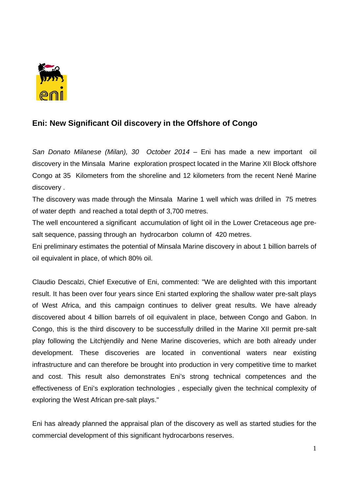

## **Eni: New Significant Oil discovery in the Offshore of Congo**

*San Donato Milanese (Milan), 30 October 2014* – Eni has made a new important oil discovery in the Minsala Marine exploration prospect located in the Marine XII Block offshore Congo at 35 Kilometers from the shoreline and 12 kilometers from the recent Nené Marine discovery .

The discovery was made through the Minsala Marine 1 well which was drilled in 75 metres of water depth and reached a total depth of 3,700 metres.

The well encountered a significant accumulation of light oil in the Lower Cretaceous age presalt sequence, passing through an hydrocarbon column of 420 metres.

Eni preliminary estimates the potential of Minsala Marine discovery in about 1 billion barrels of oil equivalent in place, of which 80% oil.

Claudio Descalzi, Chief Executive of Eni, commented: "We are delighted with this important result. It has been over four years since Eni started exploring the shallow water pre-salt plays of West Africa, and this campaign continues to deliver great results. We have already discovered about 4 billion barrels of oil equivalent in place, between Congo and Gabon. In Congo, this is the third discovery to be successfully drilled in the Marine XII permit pre-salt play following the Litchjendily and Nene Marine discoveries, which are both already under development. These discoveries are located in conventional waters near existing infrastructure and can therefore be brought into production in very competitive time to market and cost. This result also demonstrates Eni's strong technical competences and the effectiveness of Eni's exploration technologies , especially given the technical complexity of exploring the West African pre-salt plays."

Eni has already planned the appraisal plan of the discovery as well as started studies for the commercial development of this significant hydrocarbons reserves.